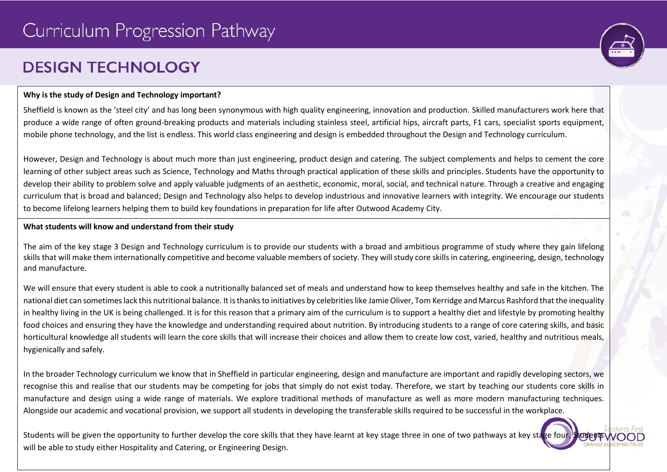# **DESIGN TECHNOLOGY**



#### **Why is the study of Design and Technology important?**

Sheffield is known as the 'steel city' and has long been synonymous with high quality engineering, innovation and production. Skilled manufacturers work here that produce a wide range of often ground-breaking products and materials including stainless steel, artificial hips, aircraft parts, F1 cars, specialist sports equipment, mobile phone technology, and the list is endless. This world class engineering and design is embedded throughout the Design and Technology curriculum.

However, Design and Technology is about much more than just engineering, product design and catering. The subject complements and helps to cement the core learning of other subject areas such as Science, Technology and Maths through practical application of these skills and principles. Students have the opportunity to develop their ability to problem solve and apply valuable judgments of an aesthetic, economic, moral, social, and technical nature. Through a creative and engaging curriculum that is broad and balanced; Design and Technology also helps to develop industrious and innovative learners with integrity. We encourage our students to become lifelong learners helping them to build key foundations in preparation for life after Outwood Academy City.

#### **What students will know and understand from their study**

The aim of the key stage 3 Design and Technology curriculum is to provide our students with a broad and ambitious programme of study where they gain lifelong skills that will make them internationally competitive and become valuable members of society. They will study core skills in catering, engineering, design, technology and manufacture.

We will ensure that every student is able to cook a nutritionally balanced set of meals and understand how to keep themselves healthy and safe in the kitchen. The national diet can sometimes lack this nutritional balance. It is thanks to initiatives by celebrities like Jamie Oliver, Tom Kerridge and Marcus Rashford that the inequality in healthy living in the UK is being challenged. It is for this reason that a primary aim of the curriculum is to support a healthy diet and lifestyle by promoting healthy food choices and ensuring they have the knowledge and understanding required about nutrition. By introducing students to a range of core catering skills, and basic horticultural knowledge all students will learn the core skills that will increase their choices and allow them to create low cost, varied, healthy and nutritious meals, hygienically and safely.

In the broader Technology curriculum we know that in Sheffield in particular engineering, design and manufacture are important and rapidly developing sectors, we recognise this and realise that our students may be competing for jobs that simply do not exist today. Therefore, we start by teaching our students core skills in manufacture and design using a wide range of materials. We explore traditional methods of manufacture as well as more modern manufacturing techniques. Alongside our academic and vocational provision, we support all students in developing the transferable skills required to be successful in the workplace.

Students will be given the opportunity to further develop the core skills that they have learnt at key stage three in one of two pathways at key stage four. Student will be able to study either Hospitality and Catering, or Engineering Design.

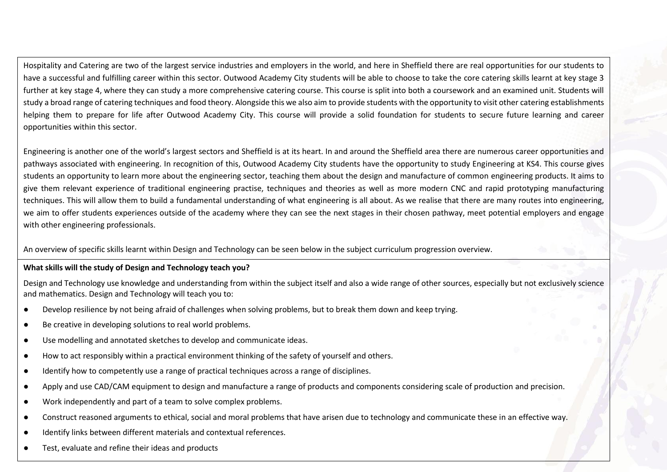Hospitality and Catering are two of the largest service industries and employers in the world, and here in Sheffield there are real opportunities for our students to have a successful and fulfilling career within this sector. Outwood Academy City students will be able to choose to take the core catering skills learnt at key stage 3 further at key stage 4, where they can study a more comprehensive catering course. This course is split into both a coursework and an examined unit. Students will study a broad range of catering techniques and food theory. Alongside this we also aim to provide students with the opportunity to visit other catering establishments helping them to prepare for life after Outwood Academy City. This course will provide a solid foundation for students to secure future learning and career opportunities within this sector.

Engineering is another one of the world's largest sectors and Sheffield is at its heart. In and around the Sheffield area there are numerous career opportunities and pathways associated with engineering. In recognition of this, Outwood Academy City students have the opportunity to study Engineering at KS4. This course gives students an opportunity to learn more about the engineering sector, teaching them about the design and manufacture of common engineering products. It aims to give them relevant experience of traditional engineering practise, techniques and theories as well as more modern CNC and rapid prototyping manufacturing techniques. This will allow them to build a fundamental understanding of what engineering is all about. As we realise that there are many routes into engineering, we aim to offer students experiences outside of the academy where they can see the next stages in their chosen pathway, meet potential employers and engage with other engineering professionals.

An overview of specific skills learnt within Design and Technology can be seen below in the subject curriculum progression overview.

### **What skills will the study of Design and Technology teach you?**

Design and Technology use knowledge and understanding from within the subject itself and also a wide range of other sources, especially but not exclusively science and mathematics. Design and Technology will teach you to:

- Develop resilience by not being afraid of challenges when solving problems, but to break them down and keep trying.
- Be creative in developing solutions to real world problems.
- Use modelling and annotated sketches to develop and communicate ideas.
- How to act responsibly within a practical environment thinking of the safety of yourself and others.
- Identify how to competently use a range of practical techniques across a range of disciplines.
- Apply and use CAD/CAM equipment to design and manufacture a range of products and components considering scale of production and precision.
- Work independently and part of a team to solve complex problems.
- Construct reasoned arguments to ethical, social and moral problems that have arisen due to technology and communicate these in an effective way.
- Identify links between different materials and contextual references.
- Test, evaluate and refine their ideas and products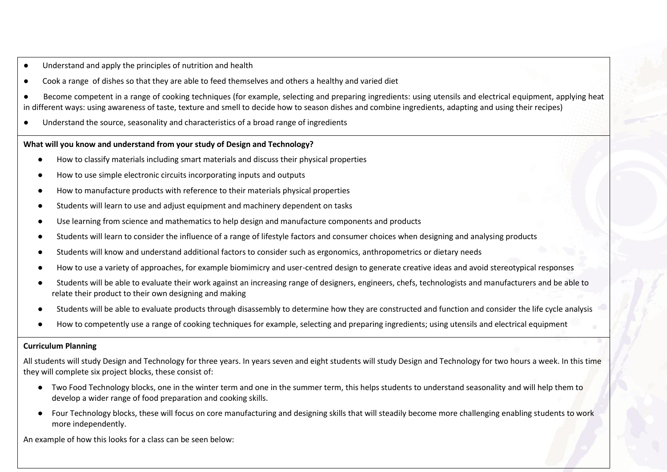- Understand and apply the principles of nutrition and health
- Cook a range of dishes so that they are able to feed themselves and others a healthy and varied diet
- Become competent in a range of cooking techniques (for example, selecting and preparing ingredients: using utensils and electrical equipment, applying heat in different ways: using awareness of taste, texture and smell to decide how to season dishes and combine ingredients, adapting and using their recipes)
- Understand the source, seasonality and characteristics of a broad range of ingredients

#### **What will you know and understand from your study of Design and Technology?**

- How to classify materials including smart materials and discuss their physical properties
- How to use simple electronic circuits incorporating inputs and outputs
- How to manufacture products with reference to their materials physical properties
- Students will learn to use and adjust equipment and machinery dependent on tasks
- Use learning from science and mathematics to help design and manufacture components and products
- Students will learn to consider the influence of a range of lifestyle factors and consumer choices when designing and analysing products
- Students will know and understand additional factors to consider such as ergonomics, anthropometrics or dietary needs
- How to use a variety of approaches, for example biomimicry and user-centred design to generate creative ideas and avoid stereotypical responses
- Students will be able to evaluate their work against an increasing range of designers, engineers, chefs, technologists and manufacturers and be able to relate their product to their own designing and making
- Students will be able to evaluate products through disassembly to determine how they are constructed and function and consider the life cycle analysis
- How to competently use a range of cooking techniques for example, selecting and preparing ingredients; using utensils and electrical equipment

### **Curriculum Planning**

All students will study Design and Technology for three years. In years seven and eight students will study Design and Technology for two hours a week. In this time they will complete six project blocks, these consist of:

- Two Food Technology blocks, one in the winter term and one in the summer term, this helps students to understand seasonality and will help them to develop a wider range of food preparation and cooking skills.
- Four Technology blocks, these will focus on core manufacturing and designing skills that will steadily become more challenging enabling students to work more independently.

An example of how this looks for a class can be seen below: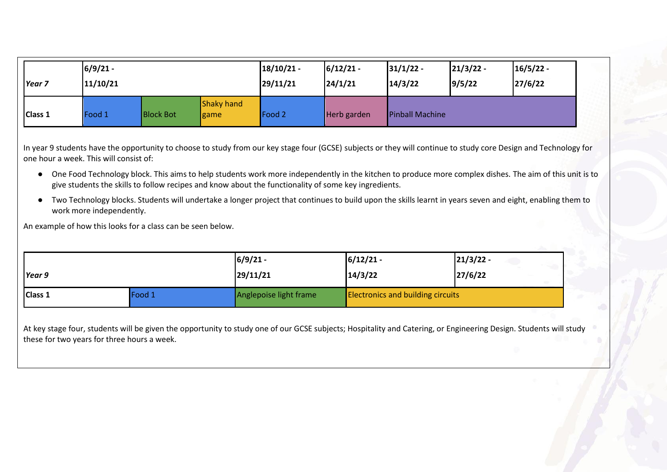| Year <sub>7</sub> | $6/9/21 -$<br>11/10/21 |                  |                           | $18/10/21$ -<br>29/11/21 | $6/12/21 -$<br>24/1/21 | 31/1/22<br>14/3/22     | $21/3/22 -$<br>9/5/22 | $16/5/22 -$<br>27/6/22 |
|-------------------|------------------------|------------------|---------------------------|--------------------------|------------------------|------------------------|-----------------------|------------------------|
| <b>Class 1</b>    | Food 1                 | <b>Block Bot</b> | <b>Shaky hand</b><br>game | Food 2                   | Herb garden            | <b>Pinball Machine</b> |                       |                        |

In year 9 students have the opportunity to choose to study from our key stage four (GCSE) subjects or they will continue to study core Design and Technology for one hour a week. This will consist of:

- One Food Technology block. This aims to help students work more independently in the kitchen to produce more complex dishes. The aim of this unit is to give students the skills to follow recipes and know about the functionality of some key ingredients.
- Two Technology blocks. Students will undertake a longer project that continues to build upon the skills learnt in years seven and eight, enabling them to work more independently.

An example of how this looks for a class can be seen below.

| Year 9         |        | $6/9/21 -$             | $6/12/21$ -                              | $21/3/22$ - |
|----------------|--------|------------------------|------------------------------------------|-------------|
|                |        | 29/11/21               | 14/3/22                                  | 27/6/22     |
| <b>Class 1</b> | Food 1 | Anglepoise light frame | <b>Electronics and building circuits</b> |             |

At key stage four, students will be given the opportunity to study one of our GCSE subjects; Hospitality and Catering, or Engineering Design. Students will study these for two years for three hours a week.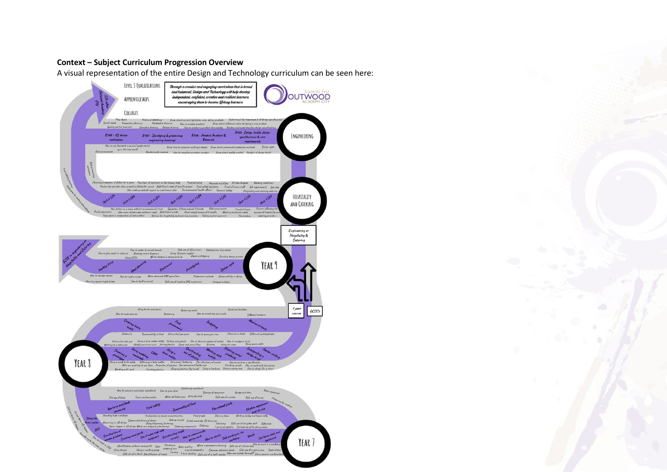### **Context – Subject Curriculum Progression Overview**

A visual representation of the entire Design and Technology curriculum can be seen here:

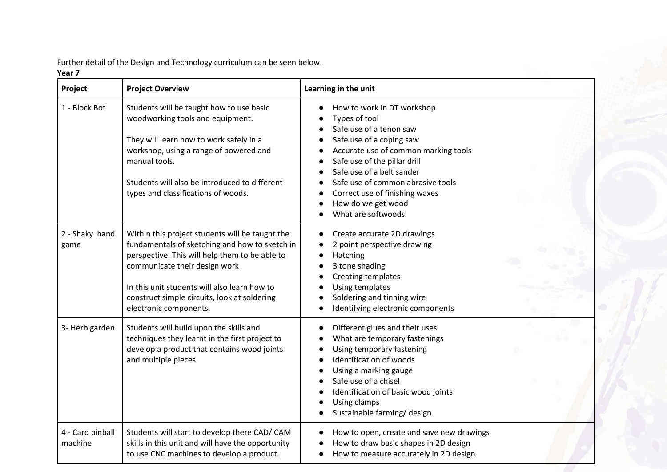Further detail of the Design and Technology curriculum can be seen below.

### **Year 7**

| Project                     | <b>Project Overview</b>                                                                                                                                                                                                                                                                                        | Learning in the unit                                                                                                                                                                                                                                                                                                       |
|-----------------------------|----------------------------------------------------------------------------------------------------------------------------------------------------------------------------------------------------------------------------------------------------------------------------------------------------------------|----------------------------------------------------------------------------------------------------------------------------------------------------------------------------------------------------------------------------------------------------------------------------------------------------------------------------|
| 1 - Block Bot               | Students will be taught how to use basic<br>woodworking tools and equipment.<br>They will learn how to work safely in a<br>workshop, using a range of powered and<br>manual tools.<br>Students will also be introduced to different<br>types and classifications of woods.                                     | How to work in DT workshop<br>Types of tool<br>Safe use of a tenon saw<br>Safe use of a coping saw<br>Accurate use of common marking tools<br>Safe use of the pillar drill<br>Safe use of a belt sander<br>Safe use of common abrasive tools<br>Correct use of finishing waxes<br>How do we get wood<br>What are softwoods |
| 2 - Shaky hand<br>game      | Within this project students will be taught the<br>fundamentals of sketching and how to sketch in<br>perspective. This will help them to be able to<br>communicate their design work<br>In this unit students will also learn how to<br>construct simple circuits, look at soldering<br>electronic components. | Create accurate 2D drawings<br>2 point perspective drawing<br>Hatching<br>3 tone shading<br>Creating templates<br>Using templates<br>Soldering and tinning wire<br>Identifying electronic components                                                                                                                       |
| 3- Herb garden              | Students will build upon the skills and<br>techniques they learnt in the first project to<br>develop a product that contains wood joints<br>and multiple pieces.                                                                                                                                               | Different glues and their uses<br>What are temporary fastenings<br>Using temporary fastening<br>Identification of woods<br>Using a marking gauge<br>Safe use of a chisel<br>Identification of basic wood joints<br>Using clamps<br>Sustainable farming/ design                                                             |
| 4 - Card pinball<br>machine | Students will start to develop there CAD/ CAM<br>skills in this unit and will have the opportunity<br>to use CNC machines to develop a product.                                                                                                                                                                | How to open, create and save new drawings<br>How to draw basic shapes in 2D design<br>How to measure accurately in 2D design                                                                                                                                                                                               |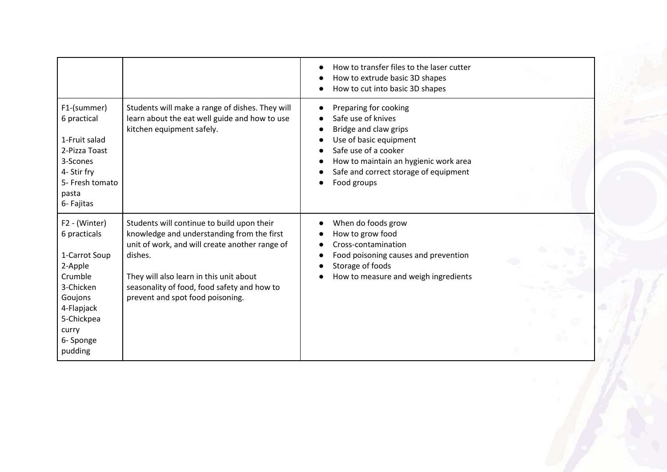|                                                                                                                                                           |                                                                                                                                                                                                                                                                                     | How to transfer files to the laser cutter<br>How to extrude basic 3D shapes<br>How to cut into basic 3D shapes                                                                                                          |  |
|-----------------------------------------------------------------------------------------------------------------------------------------------------------|-------------------------------------------------------------------------------------------------------------------------------------------------------------------------------------------------------------------------------------------------------------------------------------|-------------------------------------------------------------------------------------------------------------------------------------------------------------------------------------------------------------------------|--|
| F1-(summer)<br>6 practical<br>1-Fruit salad<br>2-Pizza Toast<br>3-Scones<br>4- Stir fry<br>5- Fresh tomato<br>pasta<br>6- Fajitas                         | Students will make a range of dishes. They will<br>learn about the eat well guide and how to use<br>kitchen equipment safely.                                                                                                                                                       | Preparing for cooking<br>Safe use of knives<br>Bridge and claw grips<br>Use of basic equipment<br>Safe use of a cooker<br>How to maintain an hygienic work area<br>Safe and correct storage of equipment<br>Food groups |  |
| F2 - (Winter)<br>6 practicals<br>1-Carrot Soup<br>2-Apple<br>Crumble<br>3-Chicken<br>Goujons<br>4-Flapjack<br>5-Chickpea<br>curry<br>6- Sponge<br>pudding | Students will continue to build upon their<br>knowledge and understanding from the first<br>unit of work, and will create another range of<br>dishes.<br>They will also learn in this unit about<br>seasonality of food, food safety and how to<br>prevent and spot food poisoning. | When do foods grow<br>How to grow food<br>Cross-contamination<br>Food poisoning causes and prevention<br>Storage of foods<br>How to measure and weigh ingredients                                                       |  |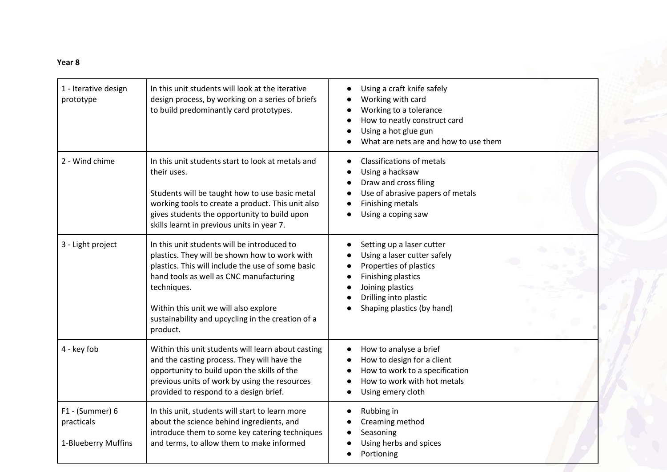## **Year 8**

| 1 - Iterative design<br>prototype                      | In this unit students will look at the iterative<br>design process, by working on a series of briefs<br>to build predominantly card prototypes.                                                                                                                                                                       | Using a craft knife safely<br>Working with card<br>Working to a tolerance<br>How to neatly construct card<br>Using a hot glue gun<br>What are nets are and how to use them          |
|--------------------------------------------------------|-----------------------------------------------------------------------------------------------------------------------------------------------------------------------------------------------------------------------------------------------------------------------------------------------------------------------|-------------------------------------------------------------------------------------------------------------------------------------------------------------------------------------|
| 2 - Wind chime                                         | In this unit students start to look at metals and<br>their uses.<br>Students will be taught how to use basic metal<br>working tools to create a product. This unit also<br>gives students the opportunity to build upon<br>skills learnt in previous units in year 7.                                                 | <b>Classifications of metals</b><br>Using a hacksaw<br>Draw and cross filing<br>Use of abrasive papers of metals<br>Finishing metals<br>Using a coping saw                          |
| 3 - Light project                                      | In this unit students will be introduced to<br>plastics. They will be shown how to work with<br>plastics. This will include the use of some basic<br>hand tools as well as CNC manufacturing<br>techniques.<br>Within this unit we will also explore<br>sustainability and upcycling in the creation of a<br>product. | Setting up a laser cutter<br>Using a laser cutter safely<br>Properties of plastics<br>Finishing plastics<br>Joining plastics<br>Drilling into plastic<br>Shaping plastics (by hand) |
| 4 - key fob                                            | Within this unit students will learn about casting<br>and the casting process. They will have the<br>opportunity to build upon the skills of the<br>previous units of work by using the resources<br>provided to respond to a design brief.                                                                           | How to analyse a brief<br>How to design for a client<br>How to work to a specification<br>How to work with hot metals<br>Using emery cloth                                          |
| $F1 - (Summer) 6$<br>practicals<br>1-Blueberry Muffins | In this unit, students will start to learn more<br>about the science behind ingredients, and<br>introduce them to some key catering techniques<br>and terms, to allow them to make informed                                                                                                                           | Rubbing in<br>Creaming method<br>Seasoning<br>Using herbs and spices<br>Portioning                                                                                                  |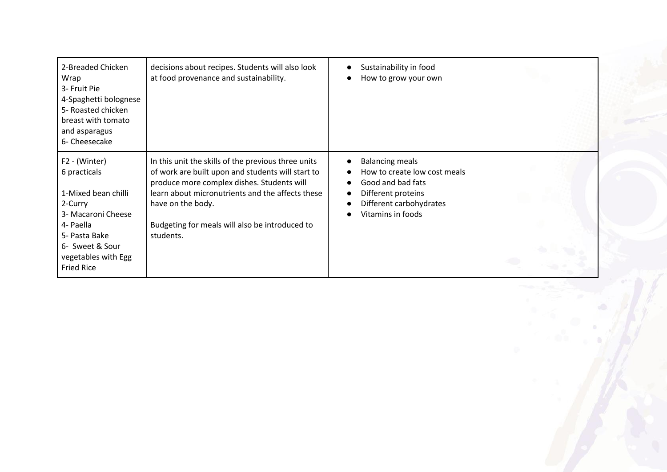| 2-Breaded Chicken<br>Wrap<br>3- Fruit Pie<br>4-Spaghetti bolognese<br>5- Roasted chicken<br>breast with tomato<br>and asparagus<br>6- Cheesecake                                   | decisions about recipes. Students will also look<br>at food provenance and sustainability.                                                                                                                                                                                                     | Sustainability in food<br>How to grow your own                                                                                                    |
|------------------------------------------------------------------------------------------------------------------------------------------------------------------------------------|------------------------------------------------------------------------------------------------------------------------------------------------------------------------------------------------------------------------------------------------------------------------------------------------|---------------------------------------------------------------------------------------------------------------------------------------------------|
| F2 - (Winter)<br>6 practicals<br>1-Mixed bean chilli<br>2-Curry<br>3- Macaroni Cheese<br>4- Paella<br>5- Pasta Bake<br>6- Sweet & Sour<br>vegetables with Egg<br><b>Fried Rice</b> | In this unit the skills of the previous three units<br>of work are built upon and students will start to<br>produce more complex dishes. Students will<br>learn about micronutrients and the affects these<br>have on the body.<br>Budgeting for meals will also be introduced to<br>students. | <b>Balancing meals</b><br>How to create low cost meals<br>Good and bad fats<br>Different proteins<br>Different carbohydrates<br>Vitamins in foods |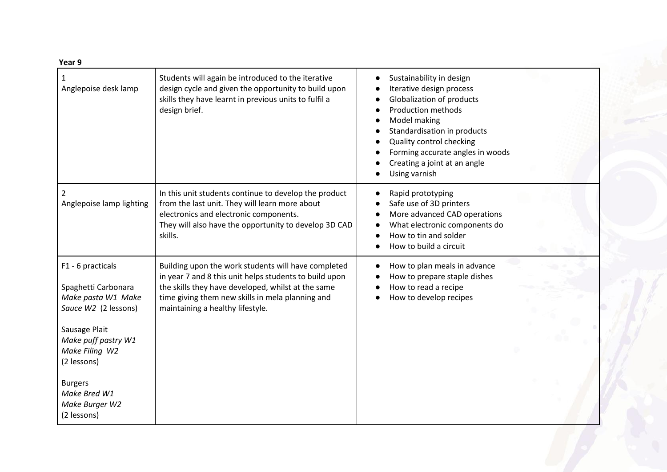| Year 9                                                                                                                                                                                                                             |                                                                                                                                                                                                                                                             |                                                                                                                                                                                                                                                                                |
|------------------------------------------------------------------------------------------------------------------------------------------------------------------------------------------------------------------------------------|-------------------------------------------------------------------------------------------------------------------------------------------------------------------------------------------------------------------------------------------------------------|--------------------------------------------------------------------------------------------------------------------------------------------------------------------------------------------------------------------------------------------------------------------------------|
| 1<br>Anglepoise desk lamp                                                                                                                                                                                                          | Students will again be introduced to the iterative<br>design cycle and given the opportunity to build upon<br>skills they have learnt in previous units to fulfil a<br>design brief.                                                                        | Sustainability in design<br>Iterative design process<br>Globalization of products<br><b>Production methods</b><br>Model making<br>Standardisation in products<br>Quality control checking<br>Forming accurate angles in woods<br>Creating a joint at an angle<br>Using varnish |
| 2<br>Anglepoise lamp lighting                                                                                                                                                                                                      | In this unit students continue to develop the product<br>from the last unit. They will learn more about<br>electronics and electronic components.<br>They will also have the opportunity to develop 3D CAD<br>skills.                                       | Rapid prototyping<br>Safe use of 3D printers<br>More advanced CAD operations<br>What electronic components do<br>How to tin and solder<br>How to build a circuit                                                                                                               |
| F1 - 6 practicals<br>Spaghetti Carbonara<br>Make pasta W1 Make<br>Sauce W2 (2 lessons)<br>Sausage Plait<br>Make puff pastry W1<br>Make Filing W2<br>(2 lessons)<br><b>Burgers</b><br>Make Bred W1<br>Make Burger W2<br>(2 lessons) | Building upon the work students will have completed<br>in year 7 and 8 this unit helps students to build upon<br>the skills they have developed, whilst at the same<br>time giving them new skills in mela planning and<br>maintaining a healthy lifestyle. | How to plan meals in advance<br>How to prepare staple dishes<br>How to read a recipe<br>How to develop recipes                                                                                                                                                                 |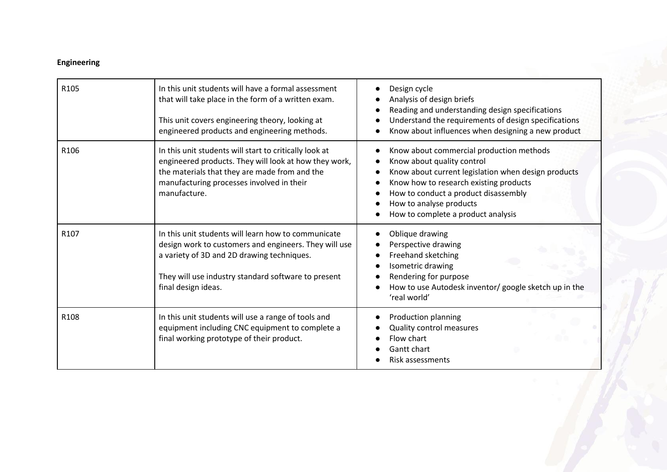# **Engineering**

| R <sub>105</sub> | In this unit students will have a formal assessment<br>that will take place in the form of a written exam.<br>This unit covers engineering theory, looking at<br>engineered products and engineering methods.                            | Design cycle<br>Analysis of design briefs<br>Reading and understanding design specifications<br>Understand the requirements of design specifications<br>Know about influences when designing a new product                                                                       |
|------------------|------------------------------------------------------------------------------------------------------------------------------------------------------------------------------------------------------------------------------------------|----------------------------------------------------------------------------------------------------------------------------------------------------------------------------------------------------------------------------------------------------------------------------------|
| R <sub>106</sub> | In this unit students will start to critically look at<br>engineered products. They will look at how they work,<br>the materials that they are made from and the<br>manufacturing processes involved in their<br>manufacture.            | Know about commercial production methods<br>Know about quality control<br>Know about current legislation when design products<br>Know how to research existing products<br>How to conduct a product disassembly<br>How to analyse products<br>How to complete a product analysis |
| R <sub>107</sub> | In this unit students will learn how to communicate<br>design work to customers and engineers. They will use<br>a variety of 3D and 2D drawing techniques.<br>They will use industry standard software to present<br>final design ideas. | Oblique drawing<br>Perspective drawing<br>Freehand sketching<br>Isometric drawing<br>Rendering for purpose<br>How to use Autodesk inventor/ google sketch up in the<br>'real world'                                                                                              |
| R108             | In this unit students will use a range of tools and<br>equipment including CNC equipment to complete a<br>final working prototype of their product.                                                                                      | Production planning<br>Quality control measures<br>Flow chart<br>Gantt chart<br>Risk assessments                                                                                                                                                                                 |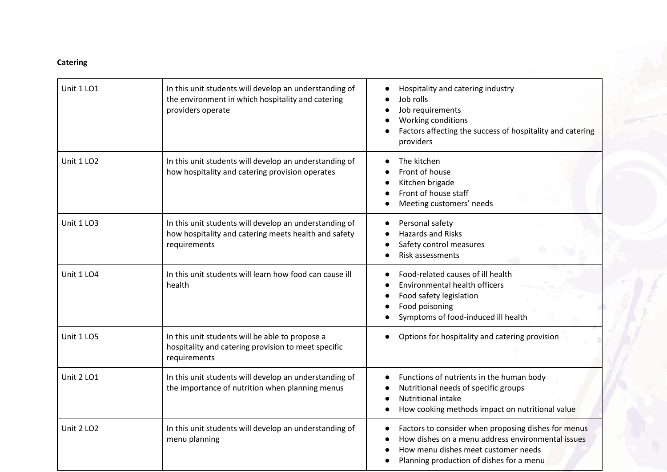# **Catering**

| <b>Unit 1 LO1</b> | In this unit students will develop an understanding of<br>the environment in which hospitality and catering<br>providers operate | Hospitality and catering industry<br>Job rolls<br>Job requirements<br>Working conditions<br>Factors affecting the success of hospitality and catering<br>providers                          |
|-------------------|----------------------------------------------------------------------------------------------------------------------------------|---------------------------------------------------------------------------------------------------------------------------------------------------------------------------------------------|
| Unit 1 LO2        | In this unit students will develop an understanding of<br>how hospitality and catering provision operates                        | The kitchen<br>Front of house<br>Kitchen brigade<br>Front of house staff<br>Meeting customers' needs                                                                                        |
| Unit 1 LO3        | In this unit students will develop an understanding of<br>how hospitality and catering meets health and safety<br>requirements   | Personal safety<br><b>Hazards and Risks</b><br>Safety control measures<br>Risk assessments                                                                                                  |
| Unit 1 LO4        | In this unit students will learn how food can cause ill<br>health                                                                | Food-related causes of ill health<br><b>Environmental health officers</b><br>Food safety legislation<br>Food poisoning<br>Symptoms of food-induced ill health                               |
| Unit 1 LO5        | In this unit students will be able to propose a<br>hospitality and catering provision to meet specific<br>requirements           | Options for hospitality and catering provision                                                                                                                                              |
| Unit 2 LO1        | In this unit students will develop an understanding of<br>the importance of nutrition when planning menus                        | Functions of nutrients in the human body<br>Nutritional needs of specific groups<br><b>Nutritional intake</b><br>How cooking methods impact on nutritional value                            |
| <b>Unit 2 LO2</b> | In this unit students will develop an understanding of<br>menu planning                                                          | Factors to consider when proposing dishes for menus<br>How dishes on a menu address environmental issues<br>How menu dishes meet customer needs<br>Planning production of dishes for a menu |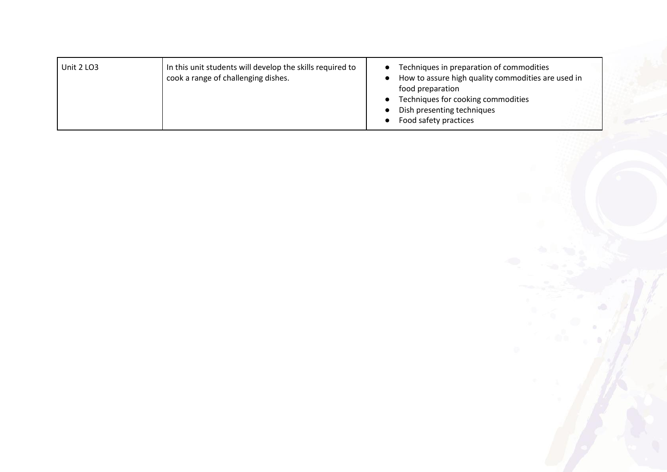| In this unit students will develop the skills required to<br>Unit 2 LO3<br>cook a range of challenging dishes. | Techniques in preparation of commodities<br>How to assure high quality commodities are used in<br>food preparation<br>Techniques for cooking commodities<br>Dish presenting techniques<br>Food safety practices |
|----------------------------------------------------------------------------------------------------------------|-----------------------------------------------------------------------------------------------------------------------------------------------------------------------------------------------------------------|
|----------------------------------------------------------------------------------------------------------------|-----------------------------------------------------------------------------------------------------------------------------------------------------------------------------------------------------------------|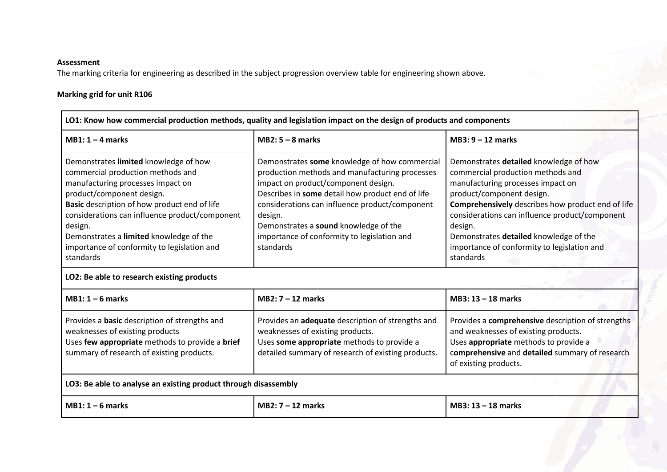#### **Assessment**

The marking criteria for engineering as described in the subject progression overview table for engineering shown above.

## **Marking grid for unit R106**

| LO1: Know how commercial production methods, quality and legislation impact on the design of products and components                                                                                                                                                                                                                                             |                                                                                                                                                                                                                                                                                                                                                              |                                                                                                                                                                                                                                                                                                                                                                       |  |  |  |
|------------------------------------------------------------------------------------------------------------------------------------------------------------------------------------------------------------------------------------------------------------------------------------------------------------------------------------------------------------------|--------------------------------------------------------------------------------------------------------------------------------------------------------------------------------------------------------------------------------------------------------------------------------------------------------------------------------------------------------------|-----------------------------------------------------------------------------------------------------------------------------------------------------------------------------------------------------------------------------------------------------------------------------------------------------------------------------------------------------------------------|--|--|--|
| $MB1:1-4 marks$                                                                                                                                                                                                                                                                                                                                                  | $MB2: 5 - 8$ marks                                                                                                                                                                                                                                                                                                                                           | $MB3: 9 - 12$ marks                                                                                                                                                                                                                                                                                                                                                   |  |  |  |
| Demonstrates limited knowledge of how<br>commercial production methods and<br>manufacturing processes impact on<br>product/component design.<br>Basic description of how product end of life<br>considerations can influence product/component<br>design.<br>Demonstrates a limited knowledge of the<br>importance of conformity to legislation and<br>standards | Demonstrates some knowledge of how commercial<br>production methods and manufacturing processes<br>impact on product/component design.<br>Describes in some detail how product end of life<br>considerations can influence product/component<br>design.<br>Demonstrates a sound knowledge of the<br>importance of conformity to legislation and<br>standards | Demonstrates detailed knowledge of how<br>commercial production methods and<br>manufacturing processes impact on<br>product/component design.<br>Comprehensively describes how product end of life<br>considerations can influence product/component<br>design.<br>Demonstrates detailed knowledge of the<br>importance of conformity to legislation and<br>standards |  |  |  |
|                                                                                                                                                                                                                                                                                                                                                                  | LO2: Be able to research existing products                                                                                                                                                                                                                                                                                                                   |                                                                                                                                                                                                                                                                                                                                                                       |  |  |  |
| $MB1:1-6 marks$                                                                                                                                                                                                                                                                                                                                                  | $MB2: 7 - 12$ marks                                                                                                                                                                                                                                                                                                                                          | $MB3: 13 - 18$ marks                                                                                                                                                                                                                                                                                                                                                  |  |  |  |
| Provides a <b>basic</b> description of strengths and<br>weaknesses of existing products<br>Uses few appropriate methods to provide a brief<br>summary of research of existing products.                                                                                                                                                                          | Provides an adequate description of strengths and<br>weaknesses of existing products.<br>Uses some appropriate methods to provide a<br>detailed summary of research of existing products.                                                                                                                                                                    | Provides a comprehensive description of strengths<br>and weaknesses of existing products.<br>Uses appropriate methods to provide a<br>comprehensive and detailed summary of research<br>of existing products.                                                                                                                                                         |  |  |  |
| LO3: Be able to analyse an existing product through disassembly                                                                                                                                                                                                                                                                                                  |                                                                                                                                                                                                                                                                                                                                                              |                                                                                                                                                                                                                                                                                                                                                                       |  |  |  |
| $MB1:1-6$ marks                                                                                                                                                                                                                                                                                                                                                  | $MB2: 7 - 12$ marks                                                                                                                                                                                                                                                                                                                                          | $MB3: 13 - 18$ marks                                                                                                                                                                                                                                                                                                                                                  |  |  |  |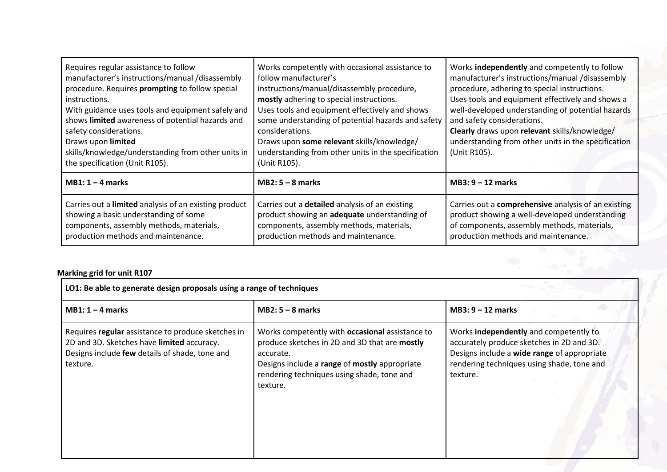| Requires regular assistance to follow<br>manufacturer's instructions/manual /disassembly<br>procedure. Requires prompting to follow special<br>instructions.<br>With guidance uses tools and equipment safely and<br>shows limited awareness of potential hazards and<br>safety considerations.<br>Draws upon limited<br>skills/knowledge/understanding from other units in<br>the specification (Unit R105). | Works competently with occasional assistance to<br>follow manufacturer's<br>instructions/manual/disassembly procedure,<br>mostly adhering to special instructions.<br>Uses tools and equipment effectively and shows<br>some understanding of potential hazards and safety<br>considerations.<br>Draws upon some relevant skills/knowledge/<br>understanding from other units in the specification<br>(Unit R105). | Works independently and competently to follow<br>manufacturer's instructions/manual /disassembly<br>procedure, adhering to special instructions.<br>Uses tools and equipment effectively and shows a<br>well-developed understanding of potential hazards<br>and safety considerations.<br>Clearly draws upon relevant skills/knowledge/<br>understanding from other units in the specification<br>(Unit R105). |
|---------------------------------------------------------------------------------------------------------------------------------------------------------------------------------------------------------------------------------------------------------------------------------------------------------------------------------------------------------------------------------------------------------------|--------------------------------------------------------------------------------------------------------------------------------------------------------------------------------------------------------------------------------------------------------------------------------------------------------------------------------------------------------------------------------------------------------------------|-----------------------------------------------------------------------------------------------------------------------------------------------------------------------------------------------------------------------------------------------------------------------------------------------------------------------------------------------------------------------------------------------------------------|
| $MB1:1-4$ marks                                                                                                                                                                                                                                                                                                                                                                                               | $MB2: 5 - 8$ marks                                                                                                                                                                                                                                                                                                                                                                                                 | $MB3: 9 - 12$ marks                                                                                                                                                                                                                                                                                                                                                                                             |
| Carries out a limited analysis of an existing product<br>showing a basic understanding of some<br>components, assembly methods, materials,<br>production methods and maintenance.                                                                                                                                                                                                                             | Carries out a detailed analysis of an existing<br>product showing an adequate understanding of<br>components, assembly methods, materials,<br>production methods and maintenance.                                                                                                                                                                                                                                  | Carries out a comprehensive analysis of an existing<br>product showing a well-developed understanding<br>of components, assembly methods, materials,<br>production methods and maintenance.                                                                                                                                                                                                                     |

# **Marking grid for unit R107**

| LO1: Be able to generate design proposals using a range of techniques                                                                                          |                                                                                                                                                                                                                                 |                                                                                                                                                                                              |  |
|----------------------------------------------------------------------------------------------------------------------------------------------------------------|---------------------------------------------------------------------------------------------------------------------------------------------------------------------------------------------------------------------------------|----------------------------------------------------------------------------------------------------------------------------------------------------------------------------------------------|--|
| $MB1:1-4$ marks                                                                                                                                                | $MB2: 5 - 8$ marks                                                                                                                                                                                                              | $MB3: 9 - 12$ marks                                                                                                                                                                          |  |
| Requires regular assistance to produce sketches in<br>2D and 3D. Sketches have limited accuracy.<br>Designs include few details of shade, tone and<br>texture. | Works competently with <b>occasional</b> assistance to<br>produce sketches in 2D and 3D that are mostly<br>accurate.<br>Designs include a range of mostly appropriate<br>rendering techniques using shade, tone and<br>texture. | Works independently and competently to<br>accurately produce sketches in 2D and 3D.<br>Designs include a wide range of appropriate<br>rendering techniques using shade, tone and<br>texture. |  |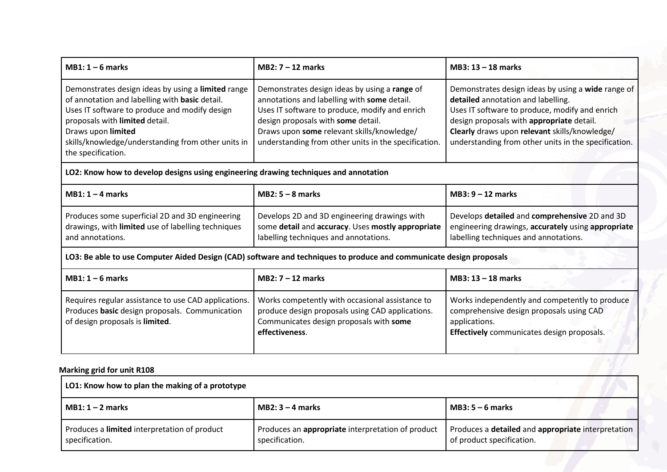| $MB1:1-6$ marks                                                                                                                                                                                                                                                                           | $MB2:7-12$ marks                                                                                                                                                                                                                                                                           | MB3: $13 - 18$ marks                                                                                                                                                                                                                                                                             |
|-------------------------------------------------------------------------------------------------------------------------------------------------------------------------------------------------------------------------------------------------------------------------------------------|--------------------------------------------------------------------------------------------------------------------------------------------------------------------------------------------------------------------------------------------------------------------------------------------|--------------------------------------------------------------------------------------------------------------------------------------------------------------------------------------------------------------------------------------------------------------------------------------------------|
| Demonstrates design ideas by using a limited range<br>of annotation and labelling with basic detail.<br>Uses IT software to produce and modify design<br>proposals with limited detail.<br>Draws upon limited<br>skills/knowledge/understanding from other units in<br>the specification. | Demonstrates design ideas by using a range of<br>annotations and labelling with some detail.<br>Uses IT software to produce, modify and enrich<br>design proposals with some detail.<br>Draws upon some relevant skills/knowledge/<br>understanding from other units in the specification. | Demonstrates design ideas by using a wide range of<br>detailed annotation and labelling.<br>Uses IT software to produce, modify and enrich<br>design proposals with appropriate detail.<br>Clearly draws upon relevant skills/knowledge/<br>understanding from other units in the specification. |
| LO2: Know how to develop designs using engineering drawing techniques and annotation                                                                                                                                                                                                      |                                                                                                                                                                                                                                                                                            |                                                                                                                                                                                                                                                                                                  |
| $MB1:1-4$ marks                                                                                                                                                                                                                                                                           | $MB2: 5 - 8$ marks                                                                                                                                                                                                                                                                         | $MB3: 9 - 12$ marks                                                                                                                                                                                                                                                                              |
| Produces some superficial 2D and 3D engineering<br>drawings, with limited use of labelling techniques<br>and annotations.                                                                                                                                                                 | Develops 2D and 3D engineering drawings with<br>some detail and accuracy. Uses mostly appropriate<br>labelling techniques and annotations.                                                                                                                                                 | Develops detailed and comprehensive 2D and 3D<br>engineering drawings, accurately using appropriate<br>labelling techniques and annotations.                                                                                                                                                     |
|                                                                                                                                                                                                                                                                                           | LO3: Be able to use Computer Aided Design (CAD) software and techniques to produce and communicate design proposals                                                                                                                                                                        |                                                                                                                                                                                                                                                                                                  |
| $MB1:1-6$ marks                                                                                                                                                                                                                                                                           | $MB2:7-12$ marks                                                                                                                                                                                                                                                                           | MB3: $13 - 18$ marks                                                                                                                                                                                                                                                                             |
| Requires regular assistance to use CAD applications.<br>Produces basic design proposals. Communication<br>of design proposals is limited.                                                                                                                                                 | Works competently with occasional assistance to<br>produce design proposals using CAD applications.<br>Communicates design proposals with some<br>effectiveness.                                                                                                                           | Works independently and competently to produce<br>comprehensive design proposals using CAD<br>applications.<br>Effectively communicates design proposals.                                                                                                                                        |
| <b>Marking grid for unit R108</b>                                                                                                                                                                                                                                                         |                                                                                                                                                                                                                                                                                            |                                                                                                                                                                                                                                                                                                  |
| LO1: Know how to plan the making of a prototype                                                                                                                                                                                                                                           |                                                                                                                                                                                                                                                                                            |                                                                                                                                                                                                                                                                                                  |

| MB1: 1 – 2 marks                             | MB2: $3 - 4$ marks                                | MB3: $5-6$ marks                                   |
|----------------------------------------------|---------------------------------------------------|----------------------------------------------------|
| Produces a limited interpretation of product | Produces an appropriate interpretation of product | Produces a detailed and appropriate interpretation |
| specification.                               | specification.                                    | of product specification.                          |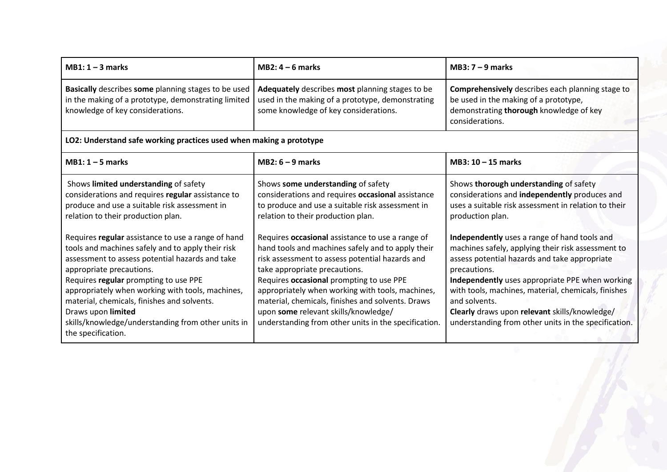| $MB1:1-3$ marks                                                                                                                                                                                                                                     | $MB2: 4-6$ marks                      | MB3: $7 - 9$ marks                                                                                                                                             |
|-----------------------------------------------------------------------------------------------------------------------------------------------------------------------------------------------------------------------------------------------------|---------------------------------------|----------------------------------------------------------------------------------------------------------------------------------------------------------------|
| Basically describes some planning stages to be used   Adequately describes most planning stages to be<br>in the making of a prototype, demonstrating limited   used in the making of a prototype, demonstrating<br>knowledge of key considerations. | some knowledge of key considerations. | <b>Comprehensively</b> describes each planning stage to<br>be used in the making of a prototype,<br>demonstrating thorough knowledge of key<br>considerations. |

# **LO2: Understand safe working practices used when making a prototype**

| $MB1:1-5$ marks                                                                                                                                                                                                                                                                                                                                                                                                                      | $MB2: 6 - 9$ marks                                                                                                                                                                                                                                                                                                                                                                                                                             | MB3: $10 - 15$ marks                                                                                                                                                                                                                                                                                                                                                                                    |
|--------------------------------------------------------------------------------------------------------------------------------------------------------------------------------------------------------------------------------------------------------------------------------------------------------------------------------------------------------------------------------------------------------------------------------------|------------------------------------------------------------------------------------------------------------------------------------------------------------------------------------------------------------------------------------------------------------------------------------------------------------------------------------------------------------------------------------------------------------------------------------------------|---------------------------------------------------------------------------------------------------------------------------------------------------------------------------------------------------------------------------------------------------------------------------------------------------------------------------------------------------------------------------------------------------------|
| Shows limited understanding of safety<br>considerations and requires regular assistance to<br>produce and use a suitable risk assessment in<br>relation to their production plan.                                                                                                                                                                                                                                                    | Shows some understanding of safety<br>considerations and requires occasional assistance<br>to produce and use a suitable risk assessment in<br>relation to their production plan.                                                                                                                                                                                                                                                              | Shows thorough understanding of safety<br>considerations and independently produces and<br>uses a suitable risk assessment in relation to their<br>production plan.                                                                                                                                                                                                                                     |
| Requires regular assistance to use a range of hand<br>tools and machines safely and to apply their risk<br>assessment to assess potential hazards and take<br>appropriate precautions.<br>Requires regular prompting to use PPE<br>appropriately when working with tools, machines,<br>material, chemicals, finishes and solvents.<br>Draws upon limited<br>skills/knowledge/understanding from other units in<br>the specification. | Requires occasional assistance to use a range of<br>hand tools and machines safely and to apply their<br>risk assessment to assess potential hazards and<br>take appropriate precautions.<br>Requires occasional prompting to use PPE<br>appropriately when working with tools, machines,<br>material, chemicals, finishes and solvents. Draws<br>upon some relevant skills/knowledge/<br>understanding from other units in the specification. | Independently uses a range of hand tools and<br>machines safely, applying their risk assessment to<br>assess potential hazards and take appropriate<br>precautions.<br>Independently uses appropriate PPE when working<br>with tools, machines, material, chemicals, finishes<br>and solvents.<br>Clearly draws upon relevant skills/knowledge/<br>understanding from other units in the specification. |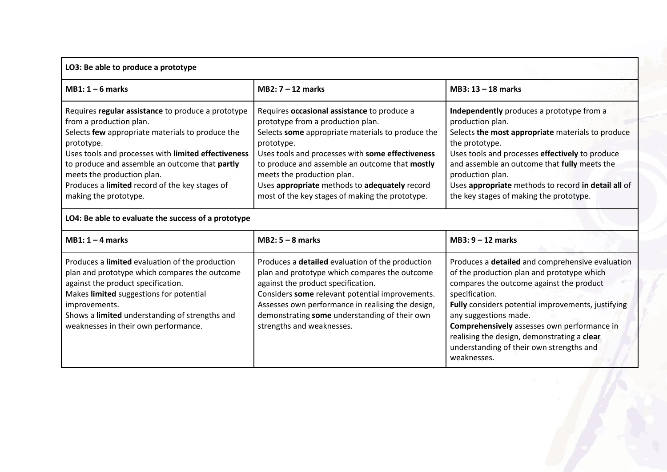# **LO3: Be able to produce a prototype**

| $MB1:1-6 marks$                                                                                                                                                                                                                                                                                                                                                   | $MB2:7-12$ marks                                                                                                                                                                                                                                                                                                                                                                            | $MB3: 13 - 18$ marks                                                                                                                                                                                                                                                                                                                                          |
|-------------------------------------------------------------------------------------------------------------------------------------------------------------------------------------------------------------------------------------------------------------------------------------------------------------------------------------------------------------------|---------------------------------------------------------------------------------------------------------------------------------------------------------------------------------------------------------------------------------------------------------------------------------------------------------------------------------------------------------------------------------------------|---------------------------------------------------------------------------------------------------------------------------------------------------------------------------------------------------------------------------------------------------------------------------------------------------------------------------------------------------------------|
| Requires regular assistance to produce a prototype<br>from a production plan.<br>Selects few appropriate materials to produce the<br>prototype.<br>Uses tools and processes with limited effectiveness<br>to produce and assemble an outcome that partly<br>meets the production plan.<br>Produces a limited record of the key stages of<br>making the prototype. | Requires occasional assistance to produce a<br>prototype from a production plan.<br>Selects some appropriate materials to produce the<br>prototype.<br>Uses tools and processes with some effectiveness<br>to produce and assemble an outcome that mostly<br>meets the production plan.<br>Uses appropriate methods to adequately record<br>most of the key stages of making the prototype. | Independently produces a prototype from a<br>production plan.<br>Selects the most appropriate materials to produce<br>the prototype.<br>Uses tools and processes effectively to produce<br>and assemble an outcome that fully meets the<br>production plan.<br>Uses appropriate methods to record in detail all of<br>the key stages of making the prototype. |

# **LO4: Be able to evaluate the success of a prototype**

| $MB1: 1 - 4$ marks                                                                                                                                                                                                                                                                           | $MB2: 5 - 8$ marks                                                                                                                                                                                                                                                                                                                   | $MB3: 9 - 12$ marks                                                                                                                                                                                                                                                                                                                                                                                  |
|----------------------------------------------------------------------------------------------------------------------------------------------------------------------------------------------------------------------------------------------------------------------------------------------|--------------------------------------------------------------------------------------------------------------------------------------------------------------------------------------------------------------------------------------------------------------------------------------------------------------------------------------|------------------------------------------------------------------------------------------------------------------------------------------------------------------------------------------------------------------------------------------------------------------------------------------------------------------------------------------------------------------------------------------------------|
| Produces a limited evaluation of the production<br>plan and prototype which compares the outcome<br>against the product specification.<br>Makes limited suggestions for potential<br>improvements.<br>Shows a limited understanding of strengths and<br>weaknesses in their own performance. | Produces a <b>detailed</b> evaluation of the production<br>plan and prototype which compares the outcome<br>against the product specification.<br>Considers some relevant potential improvements.<br>Assesses own performance in realising the design,<br>demonstrating some understanding of their own<br>strengths and weaknesses. | Produces a detailed and comprehensive evaluation<br>of the production plan and prototype which<br>compares the outcome against the product<br>specification.<br>Fully considers potential improvements, justifying<br>any suggestions made.<br>Comprehensively assesses own performance in<br>realising the design, demonstrating a clear<br>understanding of their own strengths and<br>weaknesses. |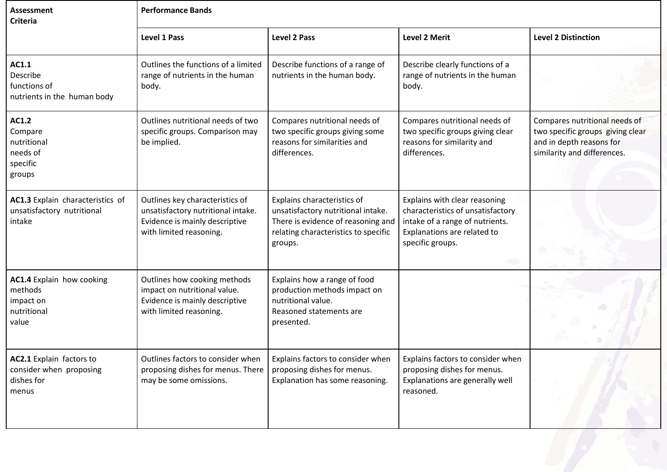| <b>Assessment</b><br><b>Criteria</b>                                       | <b>Performance Bands</b>                                                                                                           |                                                                                                                                                            |                                                                                                                                                          |                                                                                                                              |
|----------------------------------------------------------------------------|------------------------------------------------------------------------------------------------------------------------------------|------------------------------------------------------------------------------------------------------------------------------------------------------------|----------------------------------------------------------------------------------------------------------------------------------------------------------|------------------------------------------------------------------------------------------------------------------------------|
|                                                                            | <b>Level 1 Pass</b>                                                                                                                | <b>Level 2 Pass</b>                                                                                                                                        | <b>Level 2 Merit</b>                                                                                                                                     | <b>Level 2 Distinction</b>                                                                                                   |
| AC1.1<br>Describe<br>functions of<br>nutrients in the human body           | Outlines the functions of a limited<br>range of nutrients in the human<br>body.                                                    | Describe functions of a range of<br>nutrients in the human body.                                                                                           | Describe clearly functions of a<br>range of nutrients in the human<br>body.                                                                              |                                                                                                                              |
| AC1.2<br>Compare<br>nutritional<br>needs of<br>specific<br>groups          | Outlines nutritional needs of two<br>specific groups. Comparison may<br>be implied.                                                | Compares nutritional needs of<br>two specific groups giving some<br>reasons for similarities and<br>differences.                                           | Compares nutritional needs of<br>two specific groups giving clear<br>reasons for similarity and<br>differences.                                          | Compares nutritional needs of<br>two specific groups giving clear<br>and in depth reasons for<br>similarity and differences. |
| AC1.3 Explain characteristics of<br>unsatisfactory nutritional<br>intake   | Outlines key characteristics of<br>unsatisfactory nutritional intake.<br>Evidence is mainly descriptive<br>with limited reasoning. | Explains characteristics of<br>unsatisfactory nutritional intake.<br>There is evidence of reasoning and<br>relating characteristics to specific<br>groups. | Explains with clear reasoning<br>characteristics of unsatisfactory<br>intake of a range of nutrients.<br>Explanations are related to<br>specific groups. |                                                                                                                              |
| AC1.4 Explain how cooking<br>methods<br>impact on<br>nutritional<br>value  | Outlines how cooking methods<br>impact on nutritional value.<br>Evidence is mainly descriptive<br>with limited reasoning.          | Explains how a range of food<br>production methods impact on<br>nutritional value.<br>Reasoned statements are<br>presented.                                |                                                                                                                                                          |                                                                                                                              |
| AC2.1 Explain factors to<br>consider when proposing<br>dishes for<br>menus | Outlines factors to consider when<br>proposing dishes for menus. There<br>may be some omissions.                                   | Explains factors to consider when<br>proposing dishes for menus.<br>Explanation has some reasoning.                                                        | Explains factors to consider when<br>proposing dishes for menus.<br>Explanations are generally well<br>reasoned.                                         |                                                                                                                              |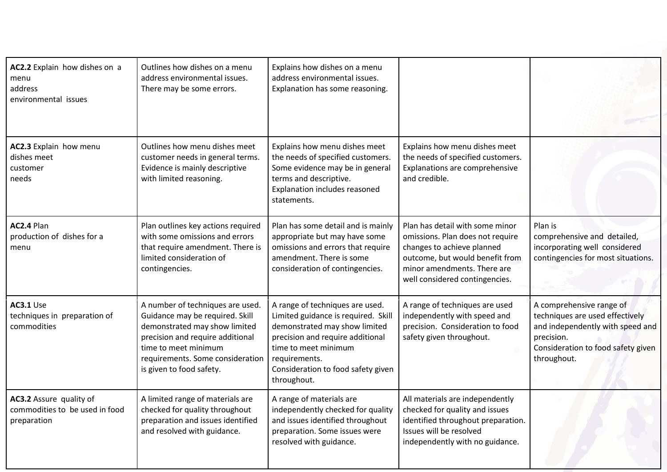| AC2.2 Explain how dishes on a<br>menu<br>address<br>environmental issues | Outlines how dishes on a menu<br>address environmental issues.<br>There may be some errors.                                                                                                                                      | Explains how dishes on a menu<br>address environmental issues.<br>Explanation has some reasoning.                                                                                                                                         |                                                                                                                                                                                                       |                                                                                                                                                                    |
|--------------------------------------------------------------------------|----------------------------------------------------------------------------------------------------------------------------------------------------------------------------------------------------------------------------------|-------------------------------------------------------------------------------------------------------------------------------------------------------------------------------------------------------------------------------------------|-------------------------------------------------------------------------------------------------------------------------------------------------------------------------------------------------------|--------------------------------------------------------------------------------------------------------------------------------------------------------------------|
| AC2.3 Explain how menu<br>dishes meet<br>customer<br>needs               | Outlines how menu dishes meet<br>customer needs in general terms.<br>Evidence is mainly descriptive<br>with limited reasoning.                                                                                                   | Explains how menu dishes meet<br>the needs of specified customers.<br>Some evidence may be in general<br>terms and descriptive.<br>Explanation includes reasoned<br>statements.                                                           | Explains how menu dishes meet<br>the needs of specified customers.<br>Explanations are comprehensive<br>and credible.                                                                                 |                                                                                                                                                                    |
| AC2.4 Plan<br>production of dishes for a<br>menu                         | Plan outlines key actions required<br>with some omissions and errors<br>that require amendment. There is<br>limited consideration of<br>contingencies.                                                                           | Plan has some detail and is mainly<br>appropriate but may have some<br>omissions and errors that require<br>amendment. There is some<br>consideration of contingencies.                                                                   | Plan has detail with some minor<br>omissions. Plan does not require<br>changes to achieve planned<br>outcome, but would benefit from<br>minor amendments. There are<br>well considered contingencies. | Plan is<br>comprehensive and detailed,<br>incorporating well considered<br>contingencies for most situations.                                                      |
| AC3.1 Use<br>techniques in preparation of<br>commodities                 | A number of techniques are used.<br>Guidance may be required. Skill<br>demonstrated may show limited<br>precision and require additional<br>time to meet minimum<br>requirements. Some consideration<br>is given to food safety. | A range of techniques are used.<br>Limited guidance is required. Skill<br>demonstrated may show limited<br>precision and require additional<br>time to meet minimum<br>requirements.<br>Consideration to food safety given<br>throughout. | A range of techniques are used<br>independently with speed and<br>precision. Consideration to food<br>safety given throughout.                                                                        | A comprehensive range of<br>techniques are used effectively<br>and independently with speed and<br>precision.<br>Consideration to food safety given<br>throughout. |
| AC3.2 Assure quality of<br>commodities to be used in food<br>preparation | A limited range of materials are<br>checked for quality throughout<br>preparation and issues identified<br>and resolved with guidance.                                                                                           | A range of materials are<br>independently checked for quality<br>and issues identified throughout<br>preparation. Some issues were<br>resolved with guidance.                                                                             | All materials are independently<br>checked for quality and issues<br>identified throughout preparation.<br>Issues will be resolved<br>independently with no guidance.                                 |                                                                                                                                                                    |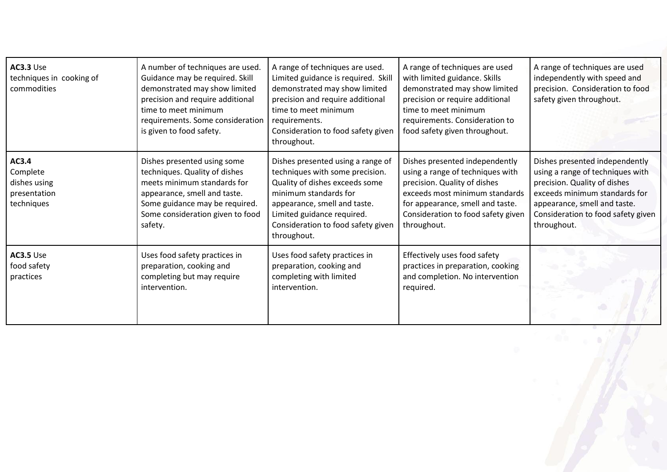| <b>AC3.3 Use</b><br>techniques in cooking of<br>commodities     | A number of techniques are used.<br>Guidance may be required. Skill<br>demonstrated may show limited<br>precision and require additional<br>time to meet minimum<br>requirements. Some consideration<br>is given to food safety. | A range of techniques are used.<br>Limited guidance is required. Skill<br>demonstrated may show limited<br>precision and require additional<br>time to meet minimum<br>requirements.<br>Consideration to food safety given<br>throughout.          | A range of techniques are used<br>with limited guidance. Skills<br>demonstrated may show limited<br>precision or require additional<br>time to meet minimum<br>requirements. Consideration to<br>food safety given throughout. | A range of techniques are used<br>independently with speed and<br>precision. Consideration to food<br>safety given throughout.                                                                                           |
|-----------------------------------------------------------------|----------------------------------------------------------------------------------------------------------------------------------------------------------------------------------------------------------------------------------|----------------------------------------------------------------------------------------------------------------------------------------------------------------------------------------------------------------------------------------------------|--------------------------------------------------------------------------------------------------------------------------------------------------------------------------------------------------------------------------------|--------------------------------------------------------------------------------------------------------------------------------------------------------------------------------------------------------------------------|
| AC3.4<br>Complete<br>dishes using<br>presentation<br>techniques | Dishes presented using some<br>techniques. Quality of dishes<br>meets minimum standards for<br>appearance, smell and taste.<br>Some guidance may be required.<br>Some consideration given to food<br>safety.                     | Dishes presented using a range of<br>techniques with some precision.<br>Quality of dishes exceeds some<br>minimum standards for<br>appearance, smell and taste.<br>Limited guidance required.<br>Consideration to food safety given<br>throughout. | Dishes presented independently<br>using a range of techniques with<br>precision. Quality of dishes<br>exceeds most minimum standards<br>for appearance, smell and taste.<br>Consideration to food safety given<br>throughout.  | Dishes presented independently<br>using a range of techniques with<br>precision. Quality of dishes<br>exceeds minimum standards for<br>appearance, smell and taste.<br>Consideration to food safety given<br>throughout. |
| AC3.5 Use<br>food safety<br>practices                           | Uses food safety practices in<br>preparation, cooking and<br>completing but may require<br>intervention.                                                                                                                         | Uses food safety practices in<br>preparation, cooking and<br>completing with limited<br>intervention.                                                                                                                                              | Effectively uses food safety<br>practices in preparation, cooking<br>and completion. No intervention<br>required.                                                                                                              |                                                                                                                                                                                                                          |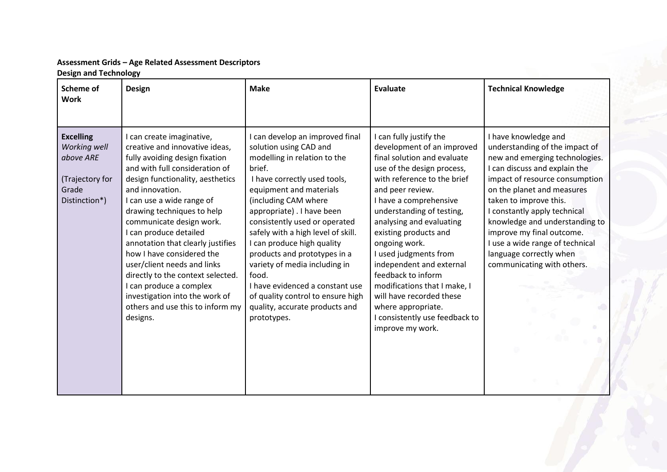## **Assessment Grids – Age Related Assessment Descriptors Design and Technology**

| <b>Scheme of</b><br><b>Work</b>                                                            | <b>Design</b>                                                                                                                                                                                                                                                                                                                                                                                                                                                                                                                                              | <b>Make</b>                                                                                                                                                                                                                                                                                                                                                                                                                                                                                                                 | <b>Evaluate</b>                                                                                                                                                                                                                                                                                                                                                                                                                                                                                                       | <b>Technical Knowledge</b>                                                                                                                                                                                                                                                                                                                                                                                     |
|--------------------------------------------------------------------------------------------|------------------------------------------------------------------------------------------------------------------------------------------------------------------------------------------------------------------------------------------------------------------------------------------------------------------------------------------------------------------------------------------------------------------------------------------------------------------------------------------------------------------------------------------------------------|-----------------------------------------------------------------------------------------------------------------------------------------------------------------------------------------------------------------------------------------------------------------------------------------------------------------------------------------------------------------------------------------------------------------------------------------------------------------------------------------------------------------------------|-----------------------------------------------------------------------------------------------------------------------------------------------------------------------------------------------------------------------------------------------------------------------------------------------------------------------------------------------------------------------------------------------------------------------------------------------------------------------------------------------------------------------|----------------------------------------------------------------------------------------------------------------------------------------------------------------------------------------------------------------------------------------------------------------------------------------------------------------------------------------------------------------------------------------------------------------|
| <b>Excelling</b><br>Working well<br>above ARE<br>(Trajectory for<br>Grade<br>Distinction*) | I can create imaginative,<br>creative and innovative ideas,<br>fully avoiding design fixation<br>and with full consideration of<br>design functionality, aesthetics<br>and innovation.<br>I can use a wide range of<br>drawing techniques to help<br>communicate design work.<br>I can produce detailed<br>annotation that clearly justifies<br>how I have considered the<br>user/client needs and links<br>directly to the context selected.<br>I can produce a complex<br>investigation into the work of<br>others and use this to inform my<br>designs. | I can develop an improved final<br>solution using CAD and<br>modelling in relation to the<br>brief.<br>I have correctly used tools,<br>equipment and materials<br>(including CAM where<br>appropriate). I have been<br>consistently used or operated<br>safely with a high level of skill.<br>I can produce high quality<br>products and prototypes in a<br>variety of media including in<br>food.<br>I have evidenced a constant use<br>of quality control to ensure high<br>quality, accurate products and<br>prototypes. | I can fully justify the<br>development of an improved<br>final solution and evaluate<br>use of the design process,<br>with reference to the brief<br>and peer review.<br>I have a comprehensive<br>understanding of testing,<br>analysing and evaluating<br>existing products and<br>ongoing work.<br>I used judgments from<br>independent and external<br>feedback to inform<br>modifications that I make, I<br>will have recorded these<br>where appropriate.<br>I consistently use feedback to<br>improve my work. | I have knowledge and<br>understanding of the impact of<br>new and emerging technologies.<br>I can discuss and explain the<br>impact of resource consumption<br>on the planet and measures<br>taken to improve this.<br>I constantly apply technical<br>knowledge and understanding to<br>improve my final outcome.<br>I use a wide range of technical<br>language correctly when<br>communicating with others. |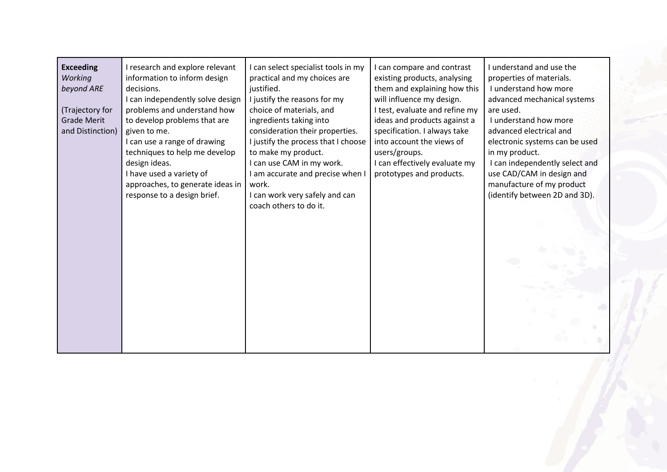| <b>Exceeding</b><br>Working<br>beyond ARE<br>(Trajectory for<br><b>Grade Merit</b><br>and Distinction) | I research and explore relevant<br>information to inform design<br>decisions.<br>I can independently solve design<br>problems and understand how<br>to develop problems that are<br>given to me.<br>I can use a range of drawing<br>techniques to help me develop<br>design ideas.<br>I have used a variety of<br>approaches, to generate ideas in<br>response to a design brief. | I can select specialist tools in my<br>practical and my choices are<br>justified.<br>I justify the reasons for my<br>choice of materials, and<br>ingredients taking into<br>consideration their properties.<br>I justify the process that I choose<br>to make my product.<br>I can use CAM in my work.<br>I am accurate and precise when I<br>work.<br>I can work very safely and can<br>coach others to do it. | can compare and contrast<br>existing products, analysing<br>them and explaining how this<br>will influence my design.<br>I test, evaluate and refine my<br>ideas and products against a<br>specification. I always take<br>into account the views of<br>users/groups.<br>I can effectively evaluate my<br>prototypes and products. | I understand and use the<br>properties of materials.<br>I understand how more<br>advanced mechanical systems<br>are used.<br>I understand how more<br>advanced electrical and<br>electronic systems can be used<br>in my product.<br>I can independently select and<br>use CAD/CAM in design and<br>manufacture of my product<br>(identify between 2D and 3D). |
|--------------------------------------------------------------------------------------------------------|-----------------------------------------------------------------------------------------------------------------------------------------------------------------------------------------------------------------------------------------------------------------------------------------------------------------------------------------------------------------------------------|-----------------------------------------------------------------------------------------------------------------------------------------------------------------------------------------------------------------------------------------------------------------------------------------------------------------------------------------------------------------------------------------------------------------|------------------------------------------------------------------------------------------------------------------------------------------------------------------------------------------------------------------------------------------------------------------------------------------------------------------------------------|----------------------------------------------------------------------------------------------------------------------------------------------------------------------------------------------------------------------------------------------------------------------------------------------------------------------------------------------------------------|
|--------------------------------------------------------------------------------------------------------|-----------------------------------------------------------------------------------------------------------------------------------------------------------------------------------------------------------------------------------------------------------------------------------------------------------------------------------------------------------------------------------|-----------------------------------------------------------------------------------------------------------------------------------------------------------------------------------------------------------------------------------------------------------------------------------------------------------------------------------------------------------------------------------------------------------------|------------------------------------------------------------------------------------------------------------------------------------------------------------------------------------------------------------------------------------------------------------------------------------------------------------------------------------|----------------------------------------------------------------------------------------------------------------------------------------------------------------------------------------------------------------------------------------------------------------------------------------------------------------------------------------------------------------|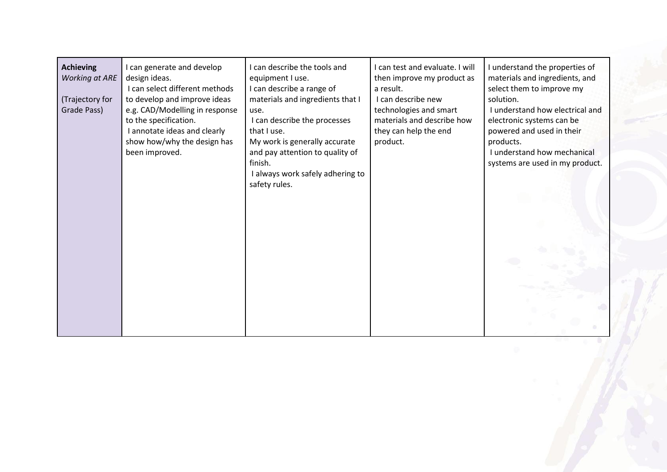| <b>Achieving</b><br><b>Working at ARE</b><br>(Trajectory for<br>Grade Pass) | I can generate and develop<br>design ideas.<br>I can select different methods<br>to develop and improve ideas<br>e.g. CAD/Modelling in response<br>to the specification.<br>I annotate ideas and clearly<br>show how/why the design has<br>been improved. | can describe the tools and<br>equipment I use.<br>I can describe a range of<br>materials and ingredients that I<br>use.<br>I can describe the processes<br>that I use.<br>My work is generally accurate<br>and pay attention to quality of<br>finish.<br>I always work safely adhering to<br>safety rules. | I can test and evaluate. I will<br>then improve my product as<br>a result.<br>I can describe new<br>technologies and smart<br>materials and describe how<br>they can help the end<br>product. | I understand the properties of<br>materials and ingredients, and<br>select them to improve my<br>solution.<br>I understand how electrical and<br>electronic systems can be<br>powered and used in their<br>products.<br>I understand how mechanical<br>systems are used in my product. |
|-----------------------------------------------------------------------------|-----------------------------------------------------------------------------------------------------------------------------------------------------------------------------------------------------------------------------------------------------------|------------------------------------------------------------------------------------------------------------------------------------------------------------------------------------------------------------------------------------------------------------------------------------------------------------|-----------------------------------------------------------------------------------------------------------------------------------------------------------------------------------------------|----------------------------------------------------------------------------------------------------------------------------------------------------------------------------------------------------------------------------------------------------------------------------------------|
|-----------------------------------------------------------------------------|-----------------------------------------------------------------------------------------------------------------------------------------------------------------------------------------------------------------------------------------------------------|------------------------------------------------------------------------------------------------------------------------------------------------------------------------------------------------------------------------------------------------------------------------------------------------------------|-----------------------------------------------------------------------------------------------------------------------------------------------------------------------------------------------|----------------------------------------------------------------------------------------------------------------------------------------------------------------------------------------------------------------------------------------------------------------------------------------|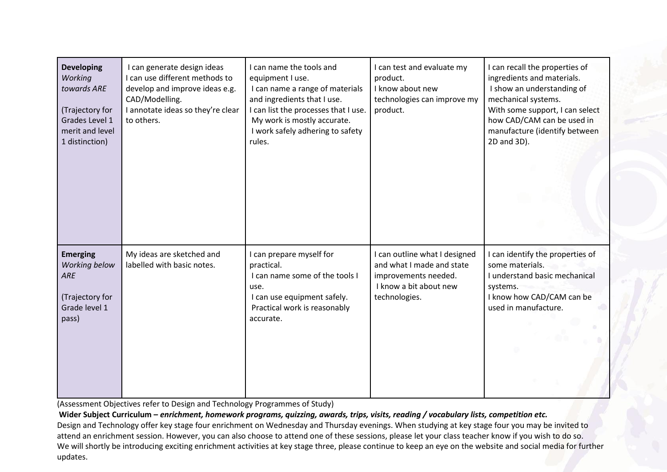| <b>Developing</b><br>Working<br>towards ARE<br>(Trajectory for<br>Grades Level 1<br>merit and level<br>1 distinction) | I can generate design ideas<br>I can use different methods to<br>develop and improve ideas e.g.<br>CAD/Modelling.<br>I annotate ideas so they're clear<br>to others. | I can name the tools and<br>equipment I use.<br>I can name a range of materials<br>and ingredients that I use.<br>I can list the processes that I use.<br>My work is mostly accurate.<br>I work safely adhering to safety<br>rules. | I can test and evaluate my<br>product.<br>I know about new<br>technologies can improve my<br>product.                         | I can recall the properties of<br>ingredients and materials.<br>I show an understanding of<br>mechanical systems.<br>With some support, I can select<br>how CAD/CAM can be used in<br>manufacture (identify between<br>2D and 3D). |
|-----------------------------------------------------------------------------------------------------------------------|----------------------------------------------------------------------------------------------------------------------------------------------------------------------|-------------------------------------------------------------------------------------------------------------------------------------------------------------------------------------------------------------------------------------|-------------------------------------------------------------------------------------------------------------------------------|------------------------------------------------------------------------------------------------------------------------------------------------------------------------------------------------------------------------------------|
| <b>Emerging</b><br>Working below<br>ARE<br>(Trajectory for<br>Grade level 1<br>pass)                                  | My ideas are sketched and<br>labelled with basic notes.                                                                                                              | I can prepare myself for<br>practical.<br>I can name some of the tools I<br>use.<br>I can use equipment safely.<br>Practical work is reasonably<br>accurate.                                                                        | I can outline what I designed<br>and what I made and state<br>improvements needed.<br>I know a bit about new<br>technologies. | I can identify the properties of<br>some materials.<br>I understand basic mechanical<br>systems.<br>I know how CAD/CAM can be<br>used in manufacture.                                                                              |

(Assessment Objectives refer to Design and Technology Programmes of Study)

**Wider Subject Curriculum –** *enrichment, homework programs, quizzing, awards, trips, visits, reading / vocabulary lists, competition etc.* Design and Technology offer key stage four enrichment on Wednesday and Thursday evenings. When studying at key stage four you may be invited to attend an enrichment session. However, you can also choose to attend one of these sessions, please let your class teacher know if you wish to do so. We will shortly be introducing exciting enrichment activities at key stage three, please continue to keep an eye on the website and social media for further updates.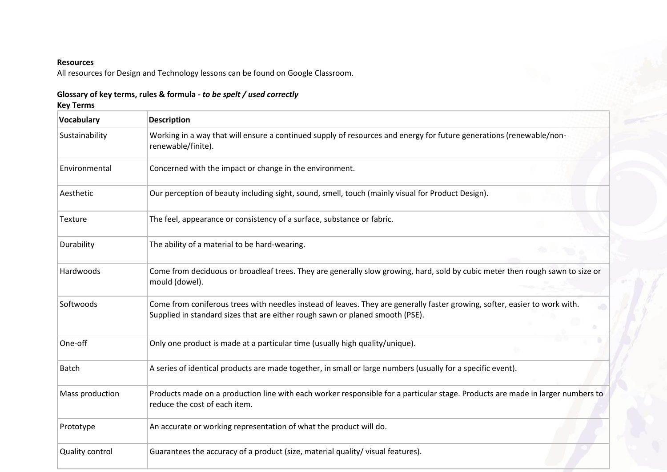### **Resources**

All resources for Design and Technology lessons can be found on Google Classroom.

| Glossary of key terms, rules & formula - to be spelt / used correctly |  |
|-----------------------------------------------------------------------|--|
| Key Terms                                                             |  |

| Vocabulary      | <b>Description</b>                                                                                                                                                                                          |  |
|-----------------|-------------------------------------------------------------------------------------------------------------------------------------------------------------------------------------------------------------|--|
| Sustainability  | Working in a way that will ensure a continued supply of resources and energy for future generations (renewable/non-<br>renewable/finite).                                                                   |  |
| Environmental   | Concerned with the impact or change in the environment.                                                                                                                                                     |  |
| Aesthetic       | Our perception of beauty including sight, sound, smell, touch (mainly visual for Product Design).                                                                                                           |  |
| Texture         | The feel, appearance or consistency of a surface, substance or fabric.                                                                                                                                      |  |
| Durability      | The ability of a material to be hard-wearing.                                                                                                                                                               |  |
| Hardwoods       | Come from deciduous or broadleaf trees. They are generally slow growing, hard, sold by cubic meter then rough sawn to size or<br>mould (dowel).                                                             |  |
| Softwoods       | Come from coniferous trees with needles instead of leaves. They are generally faster growing, softer, easier to work with.<br>Supplied in standard sizes that are either rough sawn or planed smooth (PSE). |  |
| One-off         | Only one product is made at a particular time (usually high quality/unique).                                                                                                                                |  |
| <b>Batch</b>    | A series of identical products are made together, in small or large numbers (usually for a specific event).                                                                                                 |  |
| Mass production | Products made on a production line with each worker responsible for a particular stage. Products are made in larger numbers to<br>reduce the cost of each item.                                             |  |
| Prototype       | An accurate or working representation of what the product will do.                                                                                                                                          |  |
| Quality control | Guarantees the accuracy of a product (size, material quality/visual features).                                                                                                                              |  |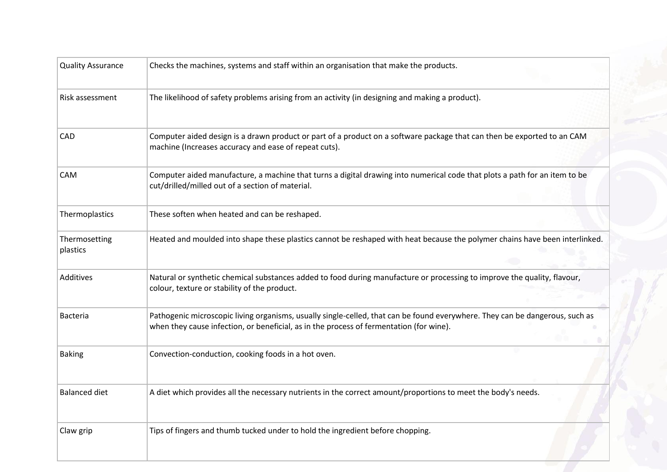| <b>Quality Assurance</b>  | Checks the machines, systems and staff within an organisation that make the products.                                                                                                                                   |  |
|---------------------------|-------------------------------------------------------------------------------------------------------------------------------------------------------------------------------------------------------------------------|--|
| Risk assessment           | The likelihood of safety problems arising from an activity (in designing and making a product).                                                                                                                         |  |
| <b>CAD</b>                | Computer aided design is a drawn product or part of a product on a software package that can then be exported to an CAM<br>machine (Increases accuracy and ease of repeat cuts).                                        |  |
| CAM                       | Computer aided manufacture, a machine that turns a digital drawing into numerical code that plots a path for an item to be<br>cut/drilled/milled out of a section of material.                                          |  |
| Thermoplastics            | These soften when heated and can be reshaped.                                                                                                                                                                           |  |
| Thermosetting<br>plastics | Heated and moulded into shape these plastics cannot be reshaped with heat because the polymer chains have been interlinked.                                                                                             |  |
| Additives                 | Natural or synthetic chemical substances added to food during manufacture or processing to improve the quality, flavour,<br>colour, texture or stability of the product.                                                |  |
| <b>Bacteria</b>           | Pathogenic microscopic living organisms, usually single-celled, that can be found everywhere. They can be dangerous, such as<br>when they cause infection, or beneficial, as in the process of fermentation (for wine). |  |
| <b>Baking</b>             | Convection-conduction, cooking foods in a hot oven.                                                                                                                                                                     |  |
| <b>Balanced diet</b>      | A diet which provides all the necessary nutrients in the correct amount/proportions to meet the body's needs.                                                                                                           |  |
| Claw grip                 | Tips of fingers and thumb tucked under to hold the ingredient before chopping.                                                                                                                                          |  |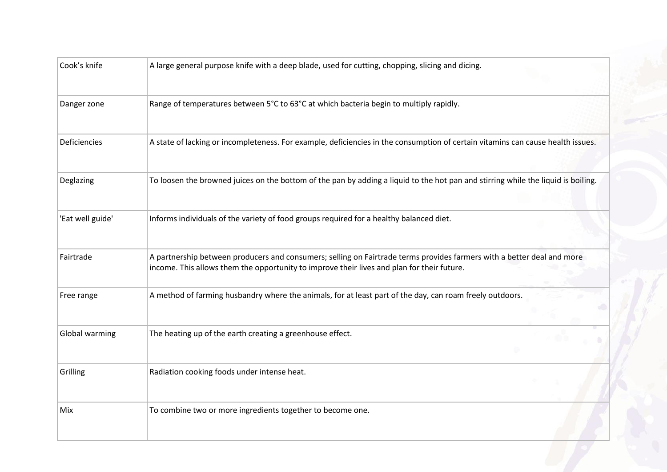| Cook's knife     | A large general purpose knife with a deep blade, used for cutting, chopping, slicing and dicing.                                                                                                                     |  |
|------------------|----------------------------------------------------------------------------------------------------------------------------------------------------------------------------------------------------------------------|--|
| Danger zone      | Range of temperatures between 5°C to 63°C at which bacteria begin to multiply rapidly.                                                                                                                               |  |
| Deficiencies     | A state of lacking or incompleteness. For example, deficiencies in the consumption of certain vitamins can cause health issues.                                                                                      |  |
| Deglazing        | To loosen the browned juices on the bottom of the pan by adding a liquid to the hot pan and stirring while the liquid is boiling.                                                                                    |  |
| 'Eat well guide' | Informs individuals of the variety of food groups required for a healthy balanced diet.                                                                                                                              |  |
| Fairtrade        | A partnership between producers and consumers; selling on Fairtrade terms provides farmers with a better deal and more<br>income. This allows them the opportunity to improve their lives and plan for their future. |  |
| Free range       | A method of farming husbandry where the animals, for at least part of the day, can roam freely outdoors.                                                                                                             |  |
| Global warming   | The heating up of the earth creating a greenhouse effect.                                                                                                                                                            |  |
| Grilling         | Radiation cooking foods under intense heat.                                                                                                                                                                          |  |
| Mix              | To combine two or more ingredients together to become one.                                                                                                                                                           |  |